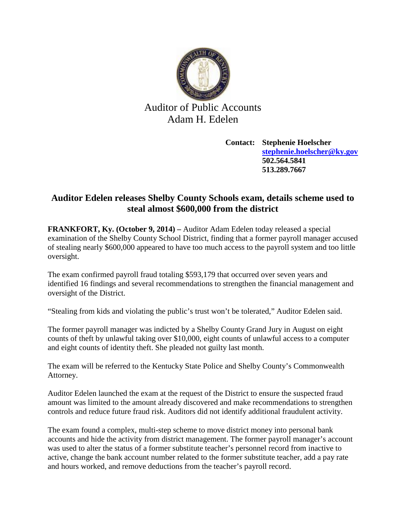

## Auditor of Public Accounts Adam H. Edelen

**Contact: Stephenie Hoelscher [stephenie.hoelscher@ky.gov](mailto:stephenie.hoelscher@ky.gov) 502.564.5841 513.289.7667**

## **Auditor Edelen releases Shelby County Schools exam, details scheme used to steal almost \$600,000 from the district**

**FRANKFORT, Ky. (October 9, 2014) –** Auditor Adam Edelen today released a special examination of the Shelby County School District, finding that a former payroll manager accused of stealing nearly \$600,000 appeared to have too much access to the payroll system and too little oversight.

The exam confirmed payroll fraud totaling \$593,179 that occurred over seven years and identified 16 findings and several recommendations to strengthen the financial management and oversight of the District.

"Stealing from kids and violating the public's trust won't be tolerated," Auditor Edelen said.

The former payroll manager was indicted by a Shelby County Grand Jury in August on eight counts of theft by unlawful taking over \$10,000, eight counts of unlawful access to a computer and eight counts of identity theft. She pleaded not guilty last month.

The exam will be referred to the Kentucky State Police and Shelby County's Commonwealth Attorney.

Auditor Edelen launched the exam at the request of the District to ensure the suspected fraud amount was limited to the amount already discovered and make recommendations to strengthen controls and reduce future fraud risk. Auditors did not identify additional fraudulent activity.

The exam found a complex, multi-step scheme to move district money into personal bank accounts and hide the activity from district management. The former payroll manager's account was used to alter the status of a former substitute teacher's personnel record from inactive to active, change the bank account number related to the former substitute teacher, add a pay rate and hours worked, and remove deductions from the teacher's payroll record.